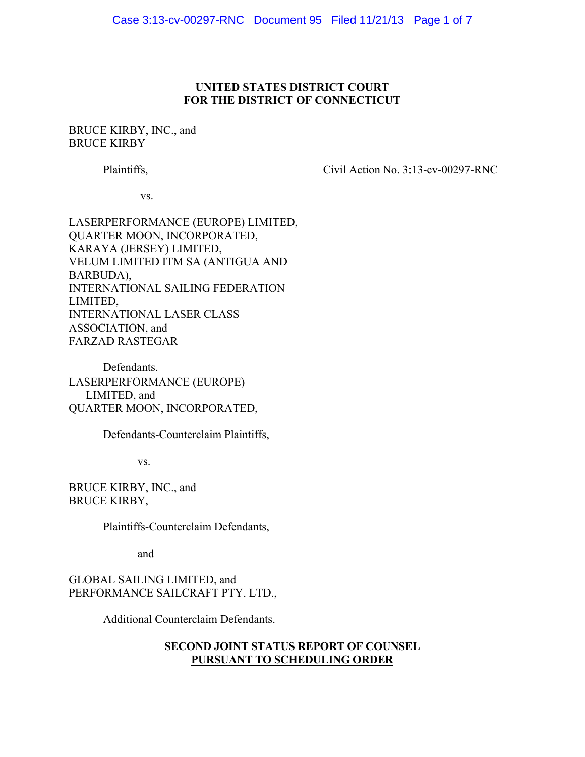## **UNITED STATES DISTRICT COURT FOR THE DISTRICT OF CONNECTICUT**

# BRUCE KIRBY, INC., and BRUCE KIRBY Plaintiffs, vs. LASERPERFORMANCE (EUROPE) LIMITED, QUARTER MOON, INCORPORATED, KARAYA (JERSEY) LIMITED, VELUM LIMITED ITM SA (ANTIGUA AND BARBUDA), INTERNATIONAL SAILING FEDERATION LIMITED, INTERNATIONAL LASER CLASS ASSOCIATION, and FARZAD RASTEGAR Defendants. LASERPERFORMANCE (EUROPE) LIMITED, and QUARTER MOON, INCORPORATED, Defendants-Counterclaim Plaintiffs, vs. BRUCE KIRBY, INC., and BRUCE KIRBY, Plaintiffs-Counterclaim Defendants, and GLOBAL SAILING LIMITED, and PERFORMANCE SAILCRAFT PTY. LTD., Additional Counterclaim Defendants.

Civil Action No. 3:13-cv-00297-RNC

**SECOND JOINT STATUS REPORT OF COUNSEL PURSUANT TO SCHEDULING ORDER**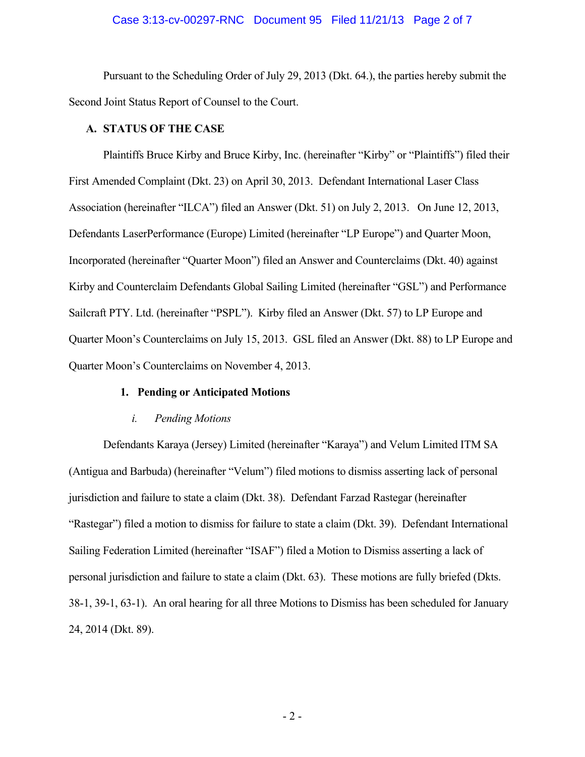## Case 3:13-cv-00297-RNC Document 95 Filed 11/21/13 Page 2 of 7

 Pursuant to the Scheduling Order of July 29, 2013 (Dkt. 64.), the parties hereby submit the Second Joint Status Report of Counsel to the Court.

#### **A. STATUS OF THE CASE**

Plaintiffs Bruce Kirby and Bruce Kirby, Inc. (hereinafter "Kirby" or "Plaintiffs") filed their First Amended Complaint (Dkt. 23) on April 30, 2013. Defendant International Laser Class Association (hereinafter "ILCA") filed an Answer (Dkt. 51) on July 2, 2013. On June 12, 2013, Defendants LaserPerformance (Europe) Limited (hereinafter "LP Europe") and Quarter Moon, Incorporated (hereinafter "Quarter Moon") filed an Answer and Counterclaims (Dkt. 40) against Kirby and Counterclaim Defendants Global Sailing Limited (hereinafter "GSL") and Performance Sailcraft PTY. Ltd. (hereinafter "PSPL"). Kirby filed an Answer (Dkt. 57) to LP Europe and Quarter Moon's Counterclaims on July 15, 2013. GSL filed an Answer (Dkt. 88) to LP Europe and Quarter Moon's Counterclaims on November 4, 2013.

#### **1. Pending or Anticipated Motions**

### *i. Pending Motions*

 Defendants Karaya (Jersey) Limited (hereinafter "Karaya") and Velum Limited ITM SA (Antigua and Barbuda) (hereinafter "Velum") filed motions to dismiss asserting lack of personal jurisdiction and failure to state a claim (Dkt. 38). Defendant Farzad Rastegar (hereinafter "Rastegar") filed a motion to dismiss for failure to state a claim (Dkt. 39). Defendant International Sailing Federation Limited (hereinafter "ISAF") filed a Motion to Dismiss asserting a lack of personal jurisdiction and failure to state a claim (Dkt. 63). These motions are fully briefed (Dkts. 38-1, 39-1, 63-1). An oral hearing for all three Motions to Dismiss has been scheduled for January 24, 2014 (Dkt. 89).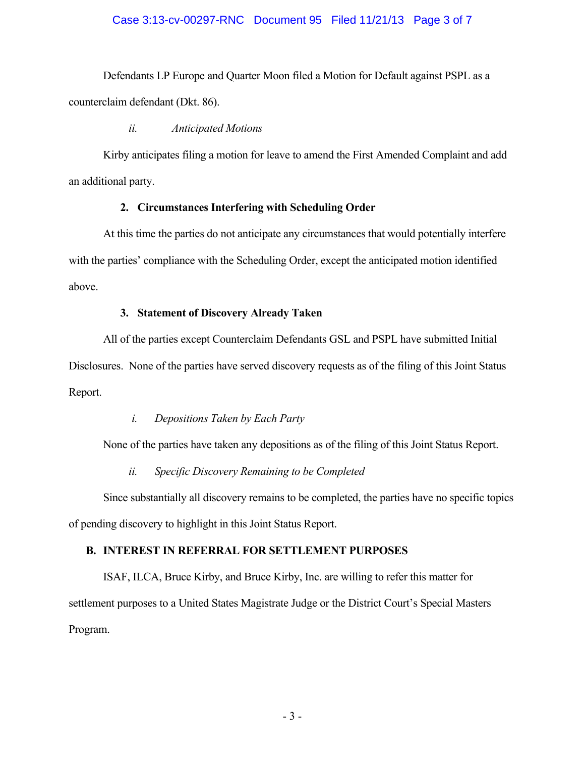## Case 3:13-cv-00297-RNC Document 95 Filed 11/21/13 Page 3 of 7

 Defendants LP Europe and Quarter Moon filed a Motion for Default against PSPL as a counterclaim defendant (Dkt. 86).

## *ii. Anticipated Motions*

 Kirby anticipates filing a motion for leave to amend the First Amended Complaint and add an additional party.

## **2. Circumstances Interfering with Scheduling Order**

 At this time the parties do not anticipate any circumstances that would potentially interfere with the parties' compliance with the Scheduling Order, except the anticipated motion identified above.

## **3. Statement of Discovery Already Taken**

 All of the parties except Counterclaim Defendants GSL and PSPL have submitted Initial Disclosures. None of the parties have served discovery requests as of the filing of this Joint Status Report.

## *i. Depositions Taken by Each Party*

None of the parties have taken any depositions as of the filing of this Joint Status Report.

### *ii. Specific Discovery Remaining to be Completed*

 Since substantially all discovery remains to be completed, the parties have no specific topics of pending discovery to highlight in this Joint Status Report.

### **B. INTEREST IN REFERRAL FOR SETTLEMENT PURPOSES**

 ISAF, ILCA, Bruce Kirby, and Bruce Kirby, Inc. are willing to refer this matter for settlement purposes to a United States Magistrate Judge or the District Court's Special Masters Program.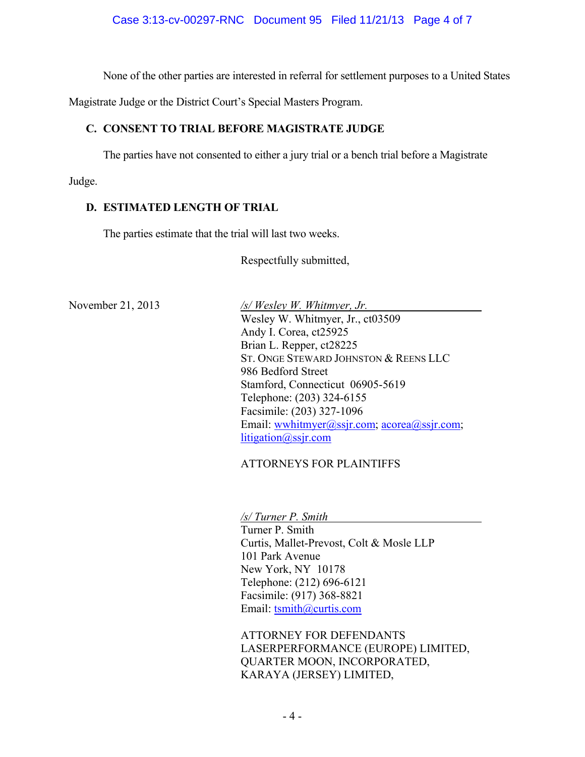None of the other parties are interested in referral for settlement purposes to a United States

Magistrate Judge or the District Court's Special Masters Program.

# **C. CONSENT TO TRIAL BEFORE MAGISTRATE JUDGE**

The parties have not consented to either a jury trial or a bench trial before a Magistrate

Judge.

# **D. ESTIMATED LENGTH OF TRIAL**

The parties estimate that the trial will last two weeks.

Respectfully submitted,

November 21, 2013 */s/ Wesley W. Whitmyer, Jr.*  Wesley W. Whitmyer, Jr., ct03509 Andy I. Corea, ct25925 Brian L. Repper, ct28225 ST. ONGE STEWARD JOHNSTON & REENS LLC 986 Bedford Street Stamford, Connecticut 06905-5619 Telephone: (203) 324-6155 Facsimile: (203) 327-1096 Email: wwhitmyer@ssjr.com; acorea@ssjr.com; litigation@ssjr.com

# ATTORNEYS FOR PLAINTIFFS

*/s/ Turner P. Smith* 

 Turner P. Smith Curtis, Mallet-Prevost, Colt & Mosle LLP 101 Park Avenue New York, NY 10178 Telephone: (212) 696-6121 Facsimile: (917) 368-8821 Email: tsmith@curtis.com

ATTORNEY FOR DEFENDANTS LASERPERFORMANCE (EUROPE) LIMITED, QUARTER MOON, INCORPORATED, KARAYA (JERSEY) LIMITED,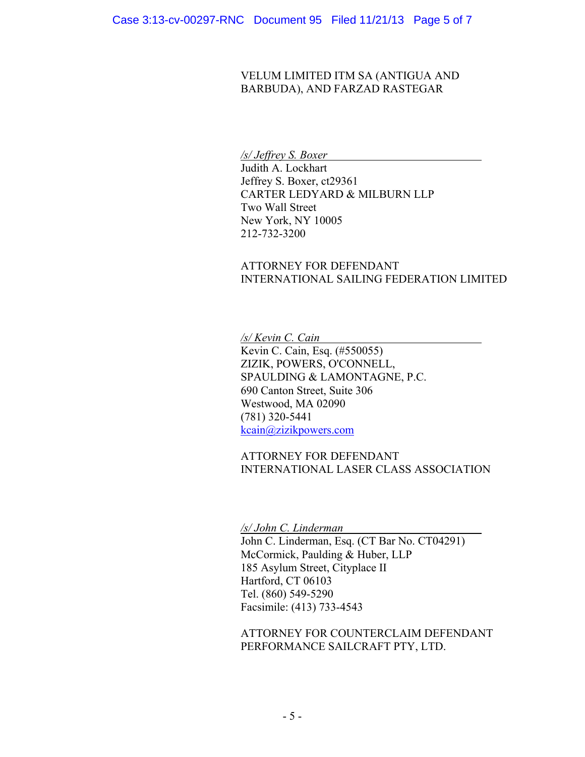## VELUM LIMITED ITM SA (ANTIGUA AND BARBUDA), AND FARZAD RASTEGAR

## */s/ Jeffrey S. Boxer*

Judith A. Lockhart Jeffrey S. Boxer, ct29361 CARTER LEDYARD & MILBURN LLP Two Wall Street New York, NY 10005 212-732-3200

# ATTORNEY FOR DEFENDANT INTERNATIONAL SAILING FEDERATION LIMITED

*/s/ Kevin C. Cain* 

Kevin C. Cain, Esq. (#550055) ZIZIK, POWERS, O'CONNELL, SPAULDING & LAMONTAGNE, P.C. 690 Canton Street, Suite 306 Westwood, MA 02090 (781) 320-5441 kcain@zizikpowers.com

ATTORNEY FOR DEFENDANT INTERNATIONAL LASER CLASS ASSOCIATION

*/s/ John C. Linderman* 

John C. Linderman, Esq. (CT Bar No. CT04291) McCormick, Paulding & Huber, LLP 185 Asylum Street, Cityplace II Hartford, CT 06103 Tel. (860) 549-5290 Facsimile: (413) 733-4543

ATTORNEY FOR COUNTERCLAIM DEFENDANT PERFORMANCE SAILCRAFT PTY, LTD.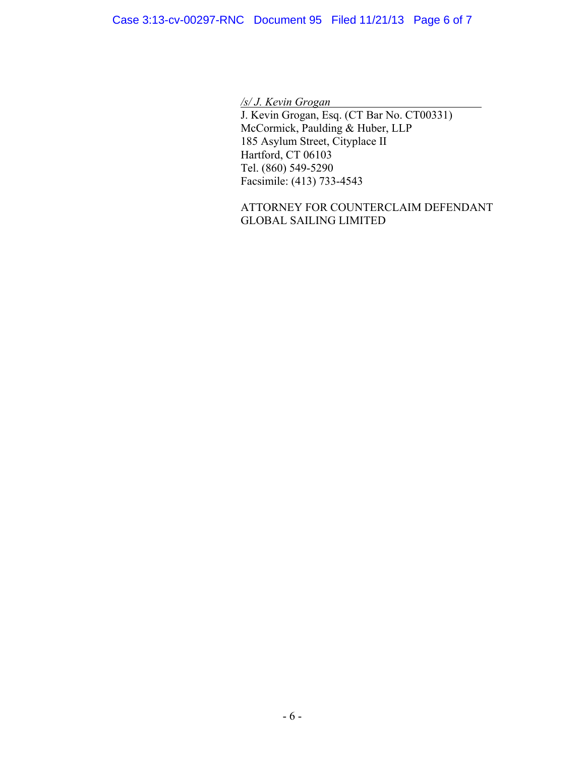*/s/ J. Kevin Grogan* 

J. Kevin Grogan, Esq. (CT Bar No. CT00331) McCormick, Paulding & Huber, LLP 185 Asylum Street, Cityplace II Hartford, CT 06103 Tel. (860) 549-5290 Facsimile: (413) 733-4543

ATTORNEY FOR COUNTERCLAIM DEFENDANT GLOBAL SAILING LIMITED